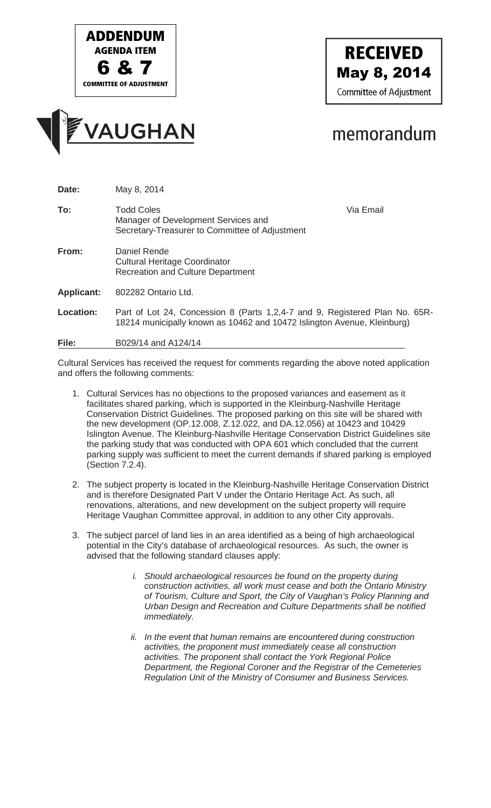





## memorandum

| Date:             | May 8, 2014                                                                                                                                            |           |
|-------------------|--------------------------------------------------------------------------------------------------------------------------------------------------------|-----------|
| To:               | <b>Todd Coles</b><br>Manager of Development Services and<br>Secretary-Treasurer to Committee of Adjustment                                             | Via Email |
| From:             | Daniel Rende<br><b>Cultural Heritage Coordinator</b><br><b>Recreation and Culture Department</b>                                                       |           |
| <b>Applicant:</b> | 802282 Ontario Ltd.                                                                                                                                    |           |
| <b>Location:</b>  | Part of Lot 24, Concession 8 (Parts 1,2,4-7 and 9, Registered Plan No. 65R-<br>18214 municipally known as 10462 and 10472 Islington Avenue, Kleinburg) |           |
| File:             | B029/14 and A124/14                                                                                                                                    |           |

Cultural Services has received the request for comments regarding the above noted application and offers the following comments:

- 1. Cultural Services has no objections to the proposed variances and easement as it facilitates shared parking, which is supported in the Kleinburg-Nashville Heritage Conservation District Guidelines. The proposed parking on this site will be shared with the new development (OP.12.008, Z.12.022, and DA.12.056) at 10423 and 10429 Islington Avenue. The Kleinburg-Nashville Heritage Conservation District Guidelines site the parking study that was conducted with OPA 601 which concluded that the current parking supply was sufficient to meet the current demands if shared parking is employed (Section 7.2.4).
- 2. The subject property is located in the Kleinburg-Nashville Heritage Conservation District and is therefore Designated Part V under the Ontario Heritage Act. As such, all renovations, alterations, and new development on the subject property will require Heritage Vaughan Committee approval, in addition to any other City approvals.
- 3. The subject parcel of land lies in an area identified as a being of high archaeological potential in the City's database of archaeological resources. As such, the owner is advised that the following standard clauses apply:
	- *i.* Should archaeological resources be found on the property during *construction activities, all work must cease and both the Ontario Ministry of Tourism, Culture and Sport, the City of Vaughan's Policy Planning and Urban Design and Recreation and Culture Departments shall be notified immediately.*
	- *ii. In the event that human remains are encountered during construction activities, the proponent must immediately cease all construction activities. The proponent shall contact the York Regional Police Department, the Regional Coroner and the Registrar of the Cemeteries Regulation Unit of the Ministry of Consumer and Business Services.*